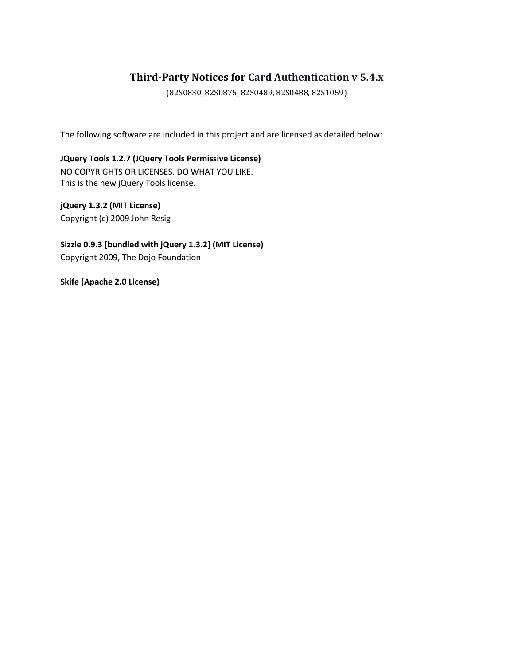## **Third-Party Notices for Card Authentication v 5.4.x**

(82S0830, 82S0875, 82S0489, 82S0488, 82S1059)

The following software are included in this project and are licensed as detailed below:

**JQuery Tools 1.2.7 (JQuery Tools Permissive License)** NO COPYRIGHTS OR LICENSES. DO WHAT YOU LIKE. This is the new jQuery Tools license.

**jQuery 1.3.2 (MIT License)** Copyright (c) 2009 John Resig

**Sizzle 0.9.3 [bundled with jQuery 1.3.2] (MIT License)** Copyright 2009, The Dojo Foundation

**Skife (Apache 2.0 License)**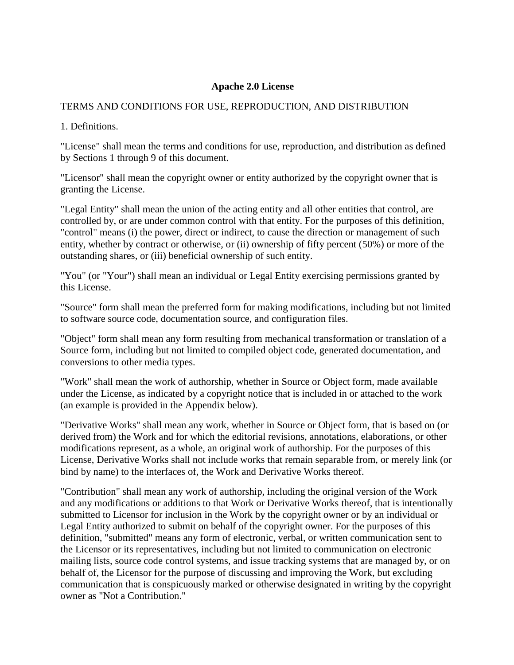## **Apache 2.0 License**

## TERMS AND CONDITIONS FOR USE, REPRODUCTION, AND DISTRIBUTION

1. Definitions.

"License" shall mean the terms and conditions for use, reproduction, and distribution as defined by Sections 1 through 9 of this document.

"Licensor" shall mean the copyright owner or entity authorized by the copyright owner that is granting the License.

"Legal Entity" shall mean the union of the acting entity and all other entities that control, are controlled by, or are under common control with that entity. For the purposes of this definition, "control" means (i) the power, direct or indirect, to cause the direction or management of such entity, whether by contract or otherwise, or (ii) ownership of fifty percent (50%) or more of the outstanding shares, or (iii) beneficial ownership of such entity.

"You" (or "Your") shall mean an individual or Legal Entity exercising permissions granted by this License.

"Source" form shall mean the preferred form for making modifications, including but not limited to software source code, documentation source, and configuration files.

"Object" form shall mean any form resulting from mechanical transformation or translation of a Source form, including but not limited to compiled object code, generated documentation, and conversions to other media types.

"Work" shall mean the work of authorship, whether in Source or Object form, made available under the License, as indicated by a copyright notice that is included in or attached to the work (an example is provided in the Appendix below).

"Derivative Works" shall mean any work, whether in Source or Object form, that is based on (or derived from) the Work and for which the editorial revisions, annotations, elaborations, or other modifications represent, as a whole, an original work of authorship. For the purposes of this License, Derivative Works shall not include works that remain separable from, or merely link (or bind by name) to the interfaces of, the Work and Derivative Works thereof.

"Contribution" shall mean any work of authorship, including the original version of the Work and any modifications or additions to that Work or Derivative Works thereof, that is intentionally submitted to Licensor for inclusion in the Work by the copyright owner or by an individual or Legal Entity authorized to submit on behalf of the copyright owner. For the purposes of this definition, "submitted" means any form of electronic, verbal, or written communication sent to the Licensor or its representatives, including but not limited to communication on electronic mailing lists, source code control systems, and issue tracking systems that are managed by, or on behalf of, the Licensor for the purpose of discussing and improving the Work, but excluding communication that is conspicuously marked or otherwise designated in writing by the copyright owner as "Not a Contribution."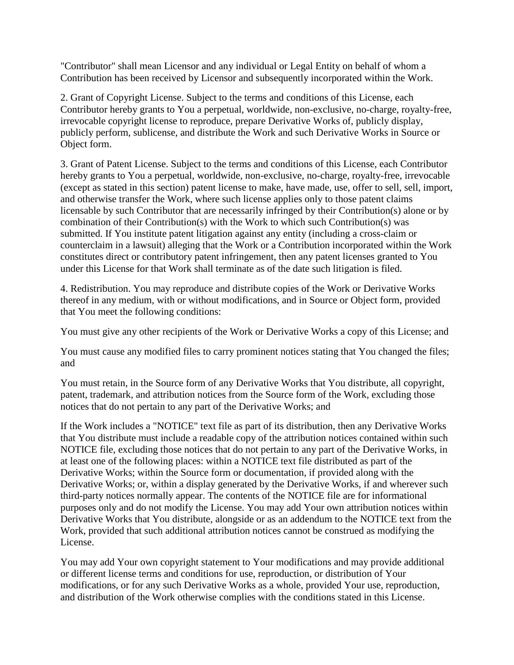"Contributor" shall mean Licensor and any individual or Legal Entity on behalf of whom a Contribution has been received by Licensor and subsequently incorporated within the Work.

2. Grant of Copyright License. Subject to the terms and conditions of this License, each Contributor hereby grants to You a perpetual, worldwide, non-exclusive, no-charge, royalty-free, irrevocable copyright license to reproduce, prepare Derivative Works of, publicly display, publicly perform, sublicense, and distribute the Work and such Derivative Works in Source or Object form.

3. Grant of Patent License. Subject to the terms and conditions of this License, each Contributor hereby grants to You a perpetual, worldwide, non-exclusive, no-charge, royalty-free, irrevocable (except as stated in this section) patent license to make, have made, use, offer to sell, sell, import, and otherwise transfer the Work, where such license applies only to those patent claims licensable by such Contributor that are necessarily infringed by their Contribution(s) alone or by combination of their Contribution(s) with the Work to which such Contribution(s) was submitted. If You institute patent litigation against any entity (including a cross-claim or counterclaim in a lawsuit) alleging that the Work or a Contribution incorporated within the Work constitutes direct or contributory patent infringement, then any patent licenses granted to You under this License for that Work shall terminate as of the date such litigation is filed.

4. Redistribution. You may reproduce and distribute copies of the Work or Derivative Works thereof in any medium, with or without modifications, and in Source or Object form, provided that You meet the following conditions:

You must give any other recipients of the Work or Derivative Works a copy of this License; and

You must cause any modified files to carry prominent notices stating that You changed the files; and

You must retain, in the Source form of any Derivative Works that You distribute, all copyright, patent, trademark, and attribution notices from the Source form of the Work, excluding those notices that do not pertain to any part of the Derivative Works; and

If the Work includes a "NOTICE" text file as part of its distribution, then any Derivative Works that You distribute must include a readable copy of the attribution notices contained within such NOTICE file, excluding those notices that do not pertain to any part of the Derivative Works, in at least one of the following places: within a NOTICE text file distributed as part of the Derivative Works; within the Source form or documentation, if provided along with the Derivative Works; or, within a display generated by the Derivative Works, if and wherever such third-party notices normally appear. The contents of the NOTICE file are for informational purposes only and do not modify the License. You may add Your own attribution notices within Derivative Works that You distribute, alongside or as an addendum to the NOTICE text from the Work, provided that such additional attribution notices cannot be construed as modifying the License.

You may add Your own copyright statement to Your modifications and may provide additional or different license terms and conditions for use, reproduction, or distribution of Your modifications, or for any such Derivative Works as a whole, provided Your use, reproduction, and distribution of the Work otherwise complies with the conditions stated in this License.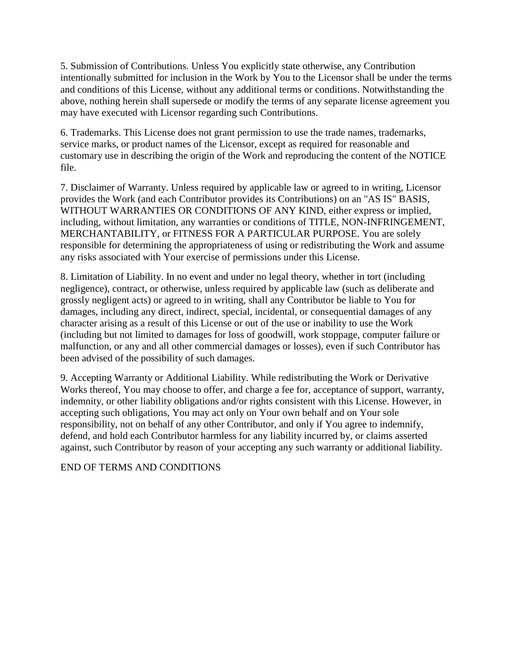5. Submission of Contributions. Unless You explicitly state otherwise, any Contribution intentionally submitted for inclusion in the Work by You to the Licensor shall be under the terms and conditions of this License, without any additional terms or conditions. Notwithstanding the above, nothing herein shall supersede or modify the terms of any separate license agreement you may have executed with Licensor regarding such Contributions.

6. Trademarks. This License does not grant permission to use the trade names, trademarks, service marks, or product names of the Licensor, except as required for reasonable and customary use in describing the origin of the Work and reproducing the content of the NOTICE file.

7. Disclaimer of Warranty. Unless required by applicable law or agreed to in writing, Licensor provides the Work (and each Contributor provides its Contributions) on an "AS IS" BASIS, WITHOUT WARRANTIES OR CONDITIONS OF ANY KIND, either express or implied, including, without limitation, any warranties or conditions of TITLE, NON-INFRINGEMENT, MERCHANTABILITY, or FITNESS FOR A PARTICULAR PURPOSE. You are solely responsible for determining the appropriateness of using or redistributing the Work and assume any risks associated with Your exercise of permissions under this License.

8. Limitation of Liability. In no event and under no legal theory, whether in tort (including negligence), contract, or otherwise, unless required by applicable law (such as deliberate and grossly negligent acts) or agreed to in writing, shall any Contributor be liable to You for damages, including any direct, indirect, special, incidental, or consequential damages of any character arising as a result of this License or out of the use or inability to use the Work (including but not limited to damages for loss of goodwill, work stoppage, computer failure or malfunction, or any and all other commercial damages or losses), even if such Contributor has been advised of the possibility of such damages.

9. Accepting Warranty or Additional Liability. While redistributing the Work or Derivative Works thereof, You may choose to offer, and charge a fee for, acceptance of support, warranty, indemnity, or other liability obligations and/or rights consistent with this License. However, in accepting such obligations, You may act only on Your own behalf and on Your sole responsibility, not on behalf of any other Contributor, and only if You agree to indemnify, defend, and hold each Contributor harmless for any liability incurred by, or claims asserted against, such Contributor by reason of your accepting any such warranty or additional liability.

END OF TERMS AND CONDITIONS